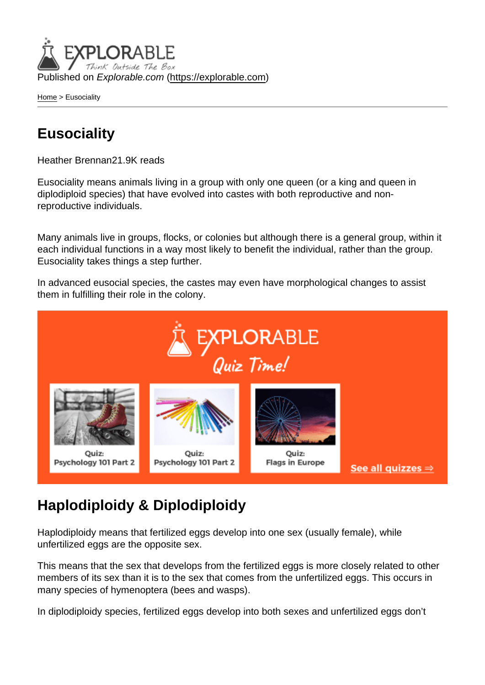Published on Explorable.com (<https://explorable.com>)

[Home](https://explorable.com/) > Eusociality

## **Eusociality**

Heather Brennan21.9K reads

Eusociality means animals living in a group with only one queen (or a king and queen in diplodiploid species) that have evolved into castes with both reproductive and nonreproductive individuals.

Many animals live in groups, flocks, or colonies but although there is a general group, within it each individual functions in a way most likely to benefit the individual, rather than the group. Eusociality takes things a step further.

In advanced eusocial species, the castes may even have morphological changes to assist them in fulfilling their role in the colony.

## Haplodiploidy & Diplodiploidy

Haplodiploidy means that fertilized eggs develop into one sex (usually female), while unfertilized eggs are the opposite sex.

This means that the sex that develops from the fertilized eggs is more closely related to other members of its sex than it is to the sex that comes from the unfertilized eggs. This occurs in many species of hymenoptera (bees and wasps).

In diplodiploidy species, fertilized eggs develop into both sexes and unfertilized eggs don't